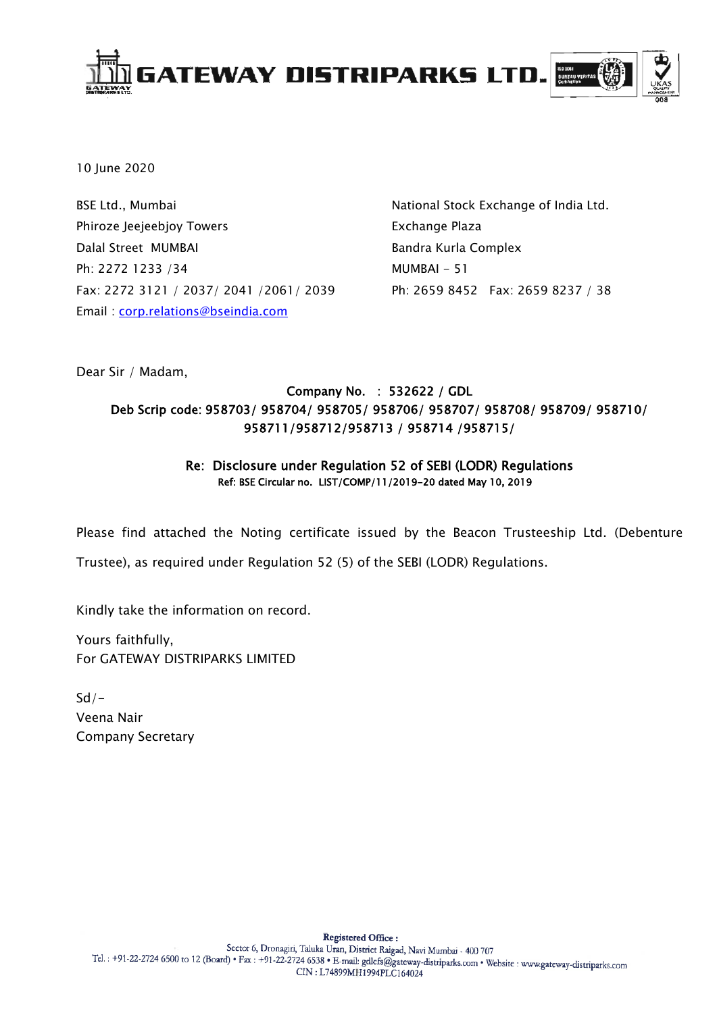

10 June 2020

BSE Ltd., Mumbai Phiroze Jeejeebjoy Towers Dalal Street MUMBAI Ph: 2272 1233 /34 Fax: 2272 3121 / 2037/ 2041 /2061/ 2039 Email : [corp.relations@bseindia.com](mailto:corp.relations@bseindia.com)

National Stock Exchange of India Ltd. Exchange Plaza Bandra Kurla Complex MUMBAI - 51 Ph: 2659 8452 Fax: 2659 8237 / 38

Dear Sir / Madam,

# Company No. : 532622 / GDL Deb Scrip code: 958703/ 958704/ 958705/ 958706/ 958707/ 958708/ 958709/ 958710/ 958711/958712/958713 / 958714 /958715/

### Re: Disclosure under Regulation 52 of SEBI (LODR) Regulations Ref: BSE Circular no. LIST/COMP/11/2019-20 dated May 10, 2019

Please find attached the Noting certificate issued by the Beacon Trusteeship Ltd. (Debenture Trustee), as required under Regulation 52 (5) of the SEBI (LODR) Regulations.

Kindly take the information on record.

Yours faithfully, For GATEWAY DISTRIPARKS LIMITED

 $Sd/-$ Veena Nair Company Secretary